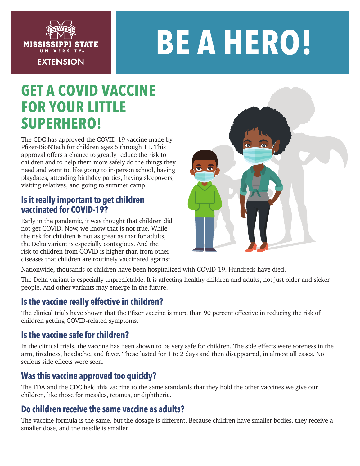

# **BE A HERO!**

## **GET A COVID VACCINE FOR YOUR LITTLE SUPERHERO!**

The CDC has approved the COVID-19 vaccine made by Pfizer-BioNTech for children ages 5 through 11. This approval offers a chance to greatly reduce the risk to children and to help them more safely do the things they need and want to, like going to in-person school, having playdates, attending birthday parties, having sleepovers, visiting relatives, and going to summer camp.

#### **Is it really important to get children vaccinated for COVID-19?**

Early in the pandemic, it was thought that children did not get COVID. Now, we know that is not true. While the risk for children is not as great as that for adults, the Delta variant is especially contagious. And the risk to children from COVID is higher than from other diseases that children are routinely vaccinated against.



Nationwide, thousands of children have been hospitalized with COVID-19. Hundreds have died.

The Delta variant is especially unpredictable. It is affecting healthy children and adults, not just older and sicker people. And other variants may emerge in the future.

## **Is the vaccine really effective in children?**

The clinical trials have shown that the Pfizer vaccine is more than 90 percent effective in reducing the risk of children getting COVID-related symptoms.

## **Is the vaccine safe for children?**

In the clinical trials, the vaccine has been shown to be very safe for children. The side effects were soreness in the arm, tiredness, headache, and fever. These lasted for 1 to 2 days and then disappeared, in almost all cases. No serious side effects were seen.

## **Was this vaccine approved too quickly?**

The FDA and the CDC held this vaccine to the same standards that they hold the other vaccines we give our children, like those for measles, tetanus, or diphtheria.

#### **Do children receive the same vaccine as adults?**

The vaccine formula is the same, but the dosage is different. Because children have smaller bodies, they receive a smaller dose, and the needle is smaller.